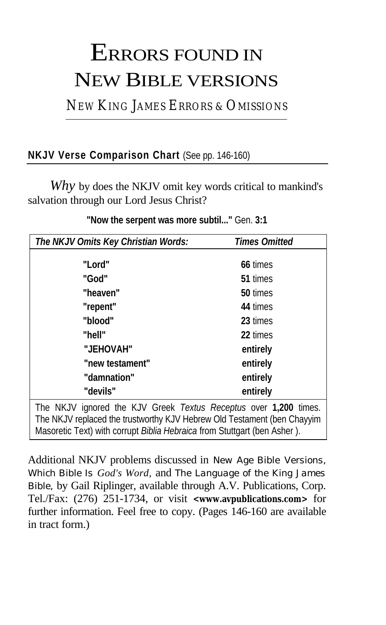# ERRORS FOUND IN NEW BIBLE VERSIONS

NEW KING JAMES ERRORS & OMISSIONS

### **NKJV Verse Comparison Chart** (See pp. 146-160)

*Why* by does the NKJV omit key words critical to mankind's salvation through our Lord Jesus Christ?

| The NKJV Omits Key Christian Words:                              | <b>Times Omitted</b> |
|------------------------------------------------------------------|----------------------|
| "Lord"                                                           | 66 times             |
| "God"                                                            | 51 times             |
| "heaven"                                                         | 50 times             |
| "repent"                                                         | 44 times             |
| "blood"                                                          | 23 times             |
| "hell"                                                           | 22 times             |
| "JEHOVAH"                                                        | entirely             |
| "new testament"                                                  | entirely             |
| "damnation"                                                      | entirely             |
| "devils"                                                         | entirely             |
| The NKJV ignored the KJV Greek Textus Receptus over 1,200 times. |                      |

**"Now the serpent was more subtil..."** Gen. **3:1**

The NKJV replaced the trustworthy KJV Hebrew Old Testament (ben Chayyim Masoretic Text) with corrupt *Biblia Hebraica* from Stuttgart (ben Asher ).

Additional NKJV problems discussed in *New Age Bible Versions, Which Bible Is God's Word,* and *The Language of the King James Bible,* by Gail Riplinger, available through A.V. Publications, Corp. Tel./Fax: (276) 251-1734, or visit **<www.avpublications.com>** for further information. Feel free to copy. (Pages 146-160 are available in tract form.)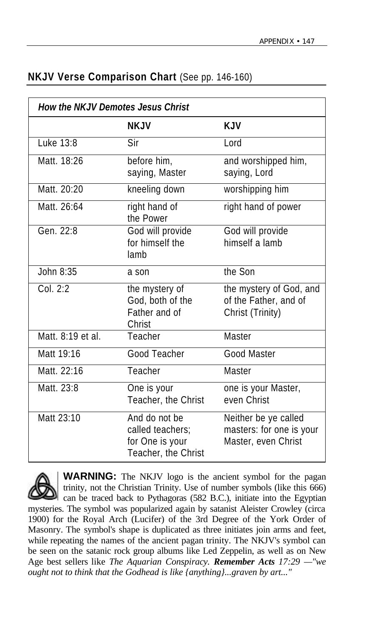| <b>How the NKJV Demotes Jesus Christ</b> |                                                                             |                                                                         |
|------------------------------------------|-----------------------------------------------------------------------------|-------------------------------------------------------------------------|
|                                          | <b>NKJV</b>                                                                 | <b>KJV</b>                                                              |
| Luke 13:8                                | Sir                                                                         | Lord                                                                    |
| Matt. 18:26                              | before him,<br>saying, Master                                               | and worshipped him,<br>saying, Lord                                     |
| Matt. 20:20                              | kneeling down                                                               | worshipping him                                                         |
| Matt. 26:64                              | right hand of<br>the Power                                                  | right hand of power                                                     |
| Gen. 22:8                                | God will provide<br>for himself the<br>lamb                                 | God will provide<br>himself a lamb                                      |
| John 8:35                                | a son                                                                       | the Son                                                                 |
| Col. 2:2                                 | the mystery of<br>God, both of the<br>Father and of<br>Christ               | the mystery of God, and<br>of the Father, and of<br>Christ (Trinity)    |
| Matt. 8:19 et al.                        | Teacher                                                                     | Master                                                                  |
| Matt 19:16                               | Good Teacher                                                                | Good Master                                                             |
| Matt. 22:16                              | Teacher                                                                     | Master                                                                  |
| Matt. 23:8                               | One is your<br>Teacher, the Christ                                          | one is your Master,<br>even Christ                                      |
| Matt 23:10                               | And do not be<br>called teachers;<br>for One is your<br>Teacher, the Christ | Neither be ye called<br>masters: for one is your<br>Master, even Christ |

#### **NKJV Verse Comparison Chart** (See pp. 146-160)



**WARNING:** The NKJV logo is the ancient symbol for the pagan trinity, not the Christian Trinity. Use of number symbols (like this 666) can be traced back to Pythagoras (582 B.C.), initiate into the Egyptian mysteries. The symbol was popularized again by satanist Aleister Crowley (circa 1900) for the Royal Arch (Lucifer) of the 3rd Degree of the York Order of Masonry. The symbol's shape is duplicated as three initiates join arms and feet, while repeating the names of the ancient pagan trinity. The NKJV's symbol can

be seen on the satanic rock group albums like Led Zeppelin, as well as on New Age best sellers like *The Aquarian Conspiracy. Remember Acts 17:29 —"we ought not to think that the Godhead is like {anything}...graven by art..."*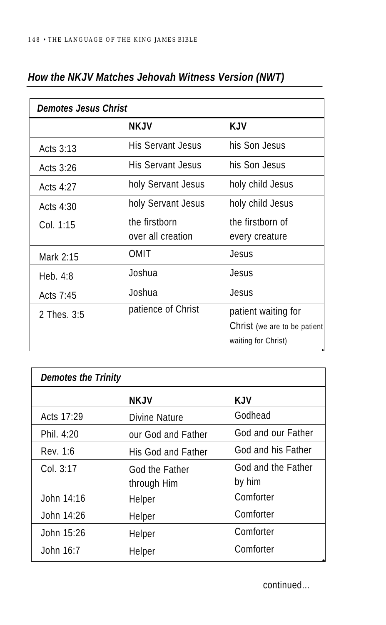| <b>Demotes Jesus Christ</b> |                                    |                                                                            |
|-----------------------------|------------------------------------|----------------------------------------------------------------------------|
|                             | <b>NKJV</b>                        | <b>KJV</b>                                                                 |
| Acts $3:13$                 | His Servant Jesus                  | his Son Jesus                                                              |
| Acts 3:26                   | His Servant Jesus                  | his Son Jesus                                                              |
| Acts $4:27$                 | holy Servant Jesus                 | holy child Jesus                                                           |
| Acts 4:30                   | holy Servant Jesus                 | holy child Jesus                                                           |
| Col. 1:15                   | the firstborn<br>over all creation | the firstborn of<br>every creature                                         |
| Mark 2:15                   | OMIT                               | Jesus                                                                      |
| Heb. $4:8$                  | Joshua                             | Jesus                                                                      |
| Acts $7:45$                 | Joshua                             | Jesus                                                                      |
| 2 Thes. 3:5                 | patience of Christ                 | patient waiting for<br>Christ (we are to be patient<br>waiting for Christ) |

### *How the NKJV Matches Jehovah Witness Version (NWT)*

| <b>Demotes the Trinity</b> |                    |                    |
|----------------------------|--------------------|--------------------|
|                            | <b>NKJV</b>        | <b>KJV</b>         |
| Acts 17:29                 | Divine Nature      | Godhead            |
| Phil. 4:20                 | our God and Father | God and our Father |
| Rev. 1:6                   | His God and Father | God and his Father |
| Col. 3:17                  | God the Father     | God and the Father |
|                            | through Him        | by him             |
| John 14:16                 | Helper             | Comforter          |
| John $14:26$               | Helper             | Comforter          |
| John 15:26                 | Helper             | Comforter          |
| John 16:7                  | Helper             | Comforter          |

continued...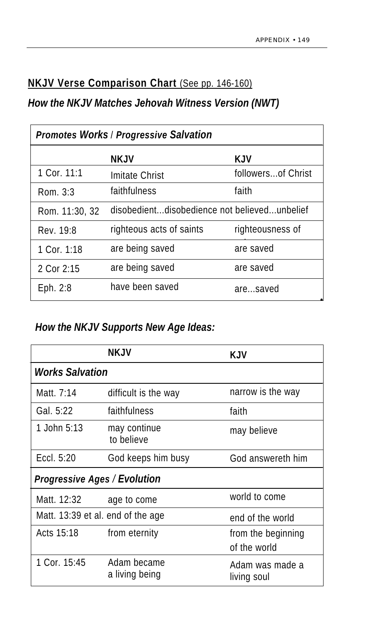### **NKJV Verse Comparison Chart** (See pp. 146-160)

#### *How the NKJV Matches Jehovah Witness Version (NWT)*

| <b>Promotes Works / Progressive Salvation</b> |                                              |                    |
|-----------------------------------------------|----------------------------------------------|--------------------|
|                                               | <b>NKJV</b>                                  | KJV                |
| 1 Cor. 11:1                                   | Imitate Christ                               | followersof Christ |
| Rom. 3:3                                      | faithfulness                                 | faith              |
| Rom. 11:30, 32                                | disobedientdisobedience not believedunbelief |                    |
| Rev. 19:8                                     | righteous acts of saints                     | righteousness of   |
| 1 Cor. $1:18$                                 | are being saved                              | are saved          |
| 2 Cor 2:15                                    | are being saved                              | are saved          |
| Eph. $2:8$                                    | have been saved                              | aresaved           |

# *How the NKJV Supports New Age Ideas:*

|                                     | NKJV                          | <b>KJV</b>                         |  |
|-------------------------------------|-------------------------------|------------------------------------|--|
| <i><b>Works Salvation</b></i>       |                               |                                    |  |
| Matt. 7:14                          | difficult is the way          | narrow is the way                  |  |
| Gal. 5:22                           | faithfulness                  | faith                              |  |
| 1. John $5:13$                      | may continue<br>to believe    | may believe                        |  |
| Eccl. $5:20$                        | God keeps him busy            | God answereth him                  |  |
| <b>Progressive Ages / Evolution</b> |                               |                                    |  |
| Matt. 12:32                         | age to come                   | world to come                      |  |
| Matt. 13:39 et al. end of the age   |                               | end of the world                   |  |
| Acts 15:18                          | from eternity                 | from the beginning<br>of the world |  |
| 1 Cor. 15:45                        | Adam became<br>a living being | Adam was made a<br>living soul     |  |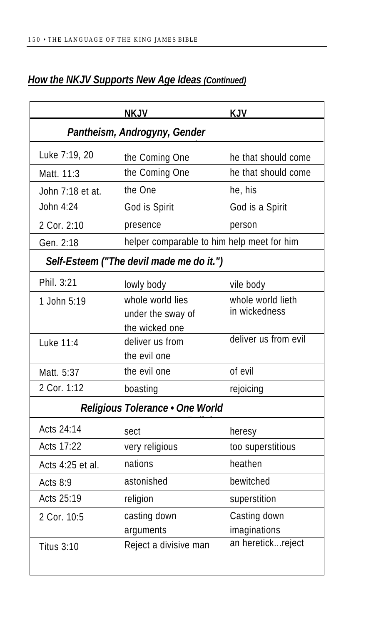## *How the NKJV Supports New Age Ideas (Continued)*

|                                 | <b>NKJV</b>                                             | KJV                                |  |
|---------------------------------|---------------------------------------------------------|------------------------------------|--|
| Pantheism, Androgyny, Gender    |                                                         |                                    |  |
| Luke 7:19, 20                   | the Coming One                                          | he that should come                |  |
| Matt. 11:3                      | the Coming One                                          | he that should come                |  |
| John 7:18 et at.                | the One                                                 | he, his                            |  |
| John 4:24                       | God is Spirit                                           | God is a Spirit                    |  |
| 2 Cor. 2:10                     | presence                                                | person                             |  |
| Gen. 2:18                       | helper comparable to him help meet for him              |                                    |  |
|                                 | Self-Esteem ("The devil made me do it.")                |                                    |  |
| Phil. 3:21                      | lowly body                                              | vile body                          |  |
| 1 John 5:19                     | whole world lies<br>under the sway of<br>the wicked one | whole world lieth<br>in wickedness |  |
| Luke 11:4                       | deliver us from<br>the evil one                         | deliver us from evil               |  |
| Matt. 5:37                      | the evil one                                            | of evil                            |  |
| 2 Cor. 1:12                     | boasting                                                | rejoicing                          |  |
| Religious Tolerance . One World |                                                         |                                    |  |
| Acts 24:14                      | sect                                                    | heresy                             |  |
| Acts 17:22                      | very religious                                          | too superstitious                  |  |
| Acts 4:25 et al.                | nations                                                 | heathen                            |  |
| Acts $8:9$                      | astonished                                              | bewitched                          |  |
| Acts 25:19                      | religion                                                | superstition                       |  |
| 2 Cor. 10:5                     | casting down<br>arguments                               | Casting down<br>imaginations       |  |
| <b>Titus 3:10</b>               | Reject a divisive man                                   | an heretickreject                  |  |